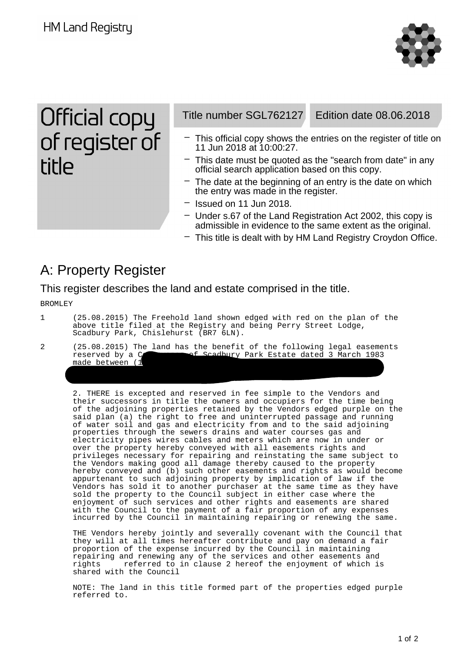**HM Land Registry** 



Official copy of register of **title** 

Title number SGL762127 Edition date 08.06.2018

- This official copy shows the entries on the register of title on 11 Jun 2018 at 10:00:27.
- $-$  This date must be quoted as the "search from date" in any official search application based on this copy.
- $-$  The date at the beginning of an entry is the date on which the entry was made in the register.
- Issued on 11 Jun 2018.
- Under s.67 of the Land Registration Act 2002, this copy is admissible in evidence to the same extent as the original.
- This title is dealt with by HM Land Registry Croydon Office.

## A: Property Register

This register describes the land and estate comprised in the title.

BROMLEY

- 1 (25.08.2015) The Freehold land shown edged with red on the plan of the above title filed at the Registry and being Perry Street Lodge, Scadbury Park, Chislehurst (BR7 6LN).
- 2 (25.08.2015) The land has the benefit of the following legal easements<br>reserved by a C and the Scadbury Park Estate dated 3 March 1983 readbury Park Estate dated 3 March 1983 made between (1

2. THERE is excepted and reserved in fee simple to the Vendors and their successors in title the owners and occupiers for the time being of the adjoining properties retained by the Vendors edged purple on the said plan (a) the right to free and uninterrupted passage and running of water soil and gas and electricity from and to the said adjoining properties through the sewers drains and water courses gas and electricity pipes wires cables and meters which are now in under or over the property hereby conveyed with all easements rights and privileges necessary for repairing and reinstating the same subject to the Vendors making good all damage thereby caused to the property hereby conveyed and (b) such other easements and rights as would become appurtenant to such adjoining property by implication of law if the Vendors has sold it to another purchaser at the same time as they have sold the property to the Council subject in either case where the enjoyment of such services and other rights and easements are shared with the Council to the payment of a fair proportion of any expenses incurred by the Council in maintaining repairing or renewing the same.

THE Vendors hereby jointly and severally covenant with the Council that they will at all times hereafter contribute and pay on demand a fair proportion of the expense incurred by the Council in maintaining repairing and renewing any of the services and other easements and rights referred to in clause 2 hereof the enjoyment of which is shared with the Council

NOTE: The land in this title formed part of the properties edged purple referred to.